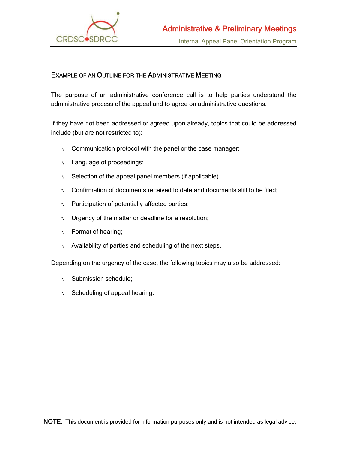

## EXAMPLE OF AN OUTLINE FOR THE ADMINISTRATIVE MEETING

The purpose of an administrative conference call is to help parties understand the administrative process of the appeal and to agree on administrative questions.

If they have not been addressed or agreed upon already, topics that could be addressed include (but are not restricted to):

- $\sqrt{\phantom{a}}$  Communication protocol with the panel or the case manager;
- $\sqrt{\phantom{a}}$  Language of proceedings;
- $\sqrt{\phantom{a}}$  Selection of the appeal panel members (if applicable)
- $\sqrt{ }$  Confirmation of documents received to date and documents still to be filed;
- $\sqrt{ }$  Participation of potentially affected parties;
- $\sqrt{ }$  Urgency of the matter or deadline for a resolution;
- $\sqrt{ }$  Format of hearing;
- $\sqrt{\phantom{a}}$  Availability of parties and scheduling of the next steps.

Depending on the urgency of the case, the following topics may also be addressed:

- $\sqrt{\phantom{a}}$  Submission schedule;
- $\sqrt{\phantom{a}}$  Scheduling of appeal hearing.